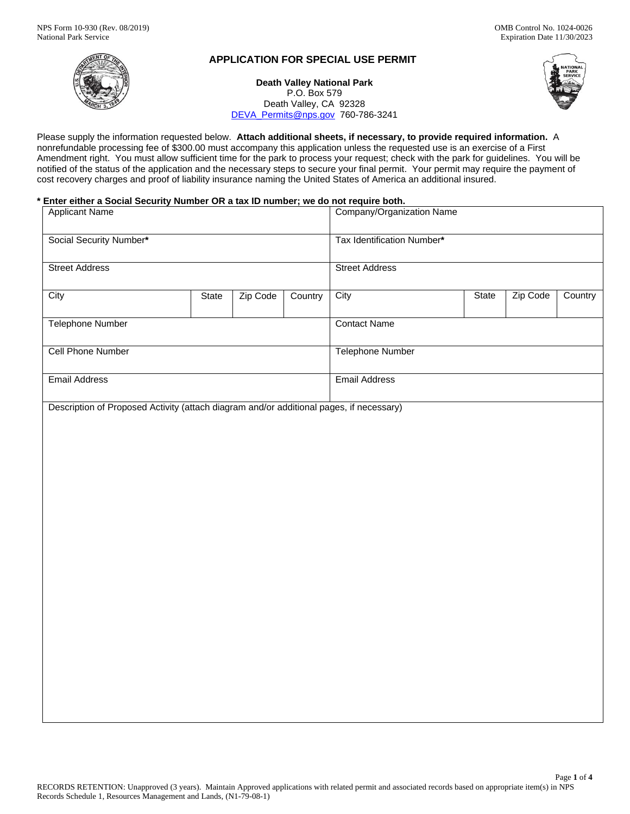

# **APPLICATION FOR SPECIAL USE PERMIT**

**Death Valley National Park**  P.O. Box 579 Death Valley, CA 92328 DEVA\_Permits@nps.gov 760-786-3241



 Please supply the information requested below. **Attach additional sheets, if necessary, to provide required information.** A Amendment right. You must allow sufficient time for the park to process your request; check with the park for guidelines. You will be nonrefundable processing fee of \$300.00 must accompany this application unless the requested use is an exercise of a First notified of the status of the application and the necessary steps to secure your final permit. Your permit may require the payment of cost recovery charges and proof of liability insurance naming the United States of America an additional insured.

# **\* Enter either a Social Security Number OR a tax ID number; we do not require both.**

| Social Security Number*<br>Tax Identification Number*<br><b>Street Address</b><br><b>Street Address</b><br>Zip Code<br>Zip Code<br>Country<br>City<br>State<br>Country<br>City<br>State<br><b>Telephone Number</b><br><b>Contact Name</b> |
|-------------------------------------------------------------------------------------------------------------------------------------------------------------------------------------------------------------------------------------------|
|                                                                                                                                                                                                                                           |
|                                                                                                                                                                                                                                           |
|                                                                                                                                                                                                                                           |
|                                                                                                                                                                                                                                           |
| Cell Phone Number<br><b>Telephone Number</b>                                                                                                                                                                                              |
| <b>Email Address</b><br><b>Email Address</b>                                                                                                                                                                                              |
|                                                                                                                                                                                                                                           |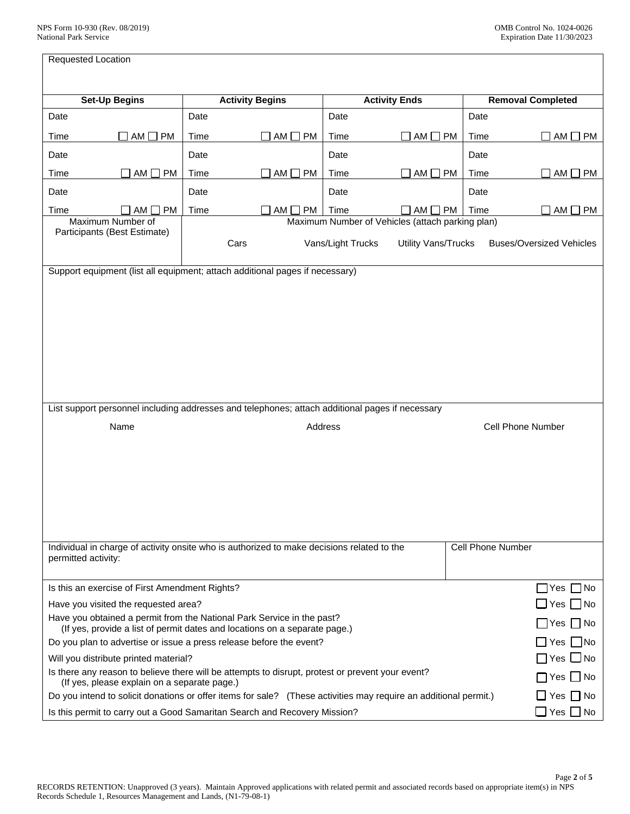| Requested Location                                                                                                                            |                                                                                                                                                         |                                                  |                                                                                                                                                      |                   |                            |      |                                 |
|-----------------------------------------------------------------------------------------------------------------------------------------------|---------------------------------------------------------------------------------------------------------------------------------------------------------|--------------------------------------------------|------------------------------------------------------------------------------------------------------------------------------------------------------|-------------------|----------------------------|------|---------------------------------|
|                                                                                                                                               |                                                                                                                                                         |                                                  |                                                                                                                                                      |                   |                            |      |                                 |
|                                                                                                                                               | <b>Set-Up Begins</b>                                                                                                                                    |                                                  | <b>Activity Begins</b>                                                                                                                               |                   | <b>Activity Ends</b>       |      | <b>Removal Completed</b>        |
| Date                                                                                                                                          |                                                                                                                                                         | Date                                             |                                                                                                                                                      | Date              |                            | Date |                                 |
| Time                                                                                                                                          | $\Box$ AM $\Box$ PM                                                                                                                                     | Time                                             | $AM \Box PM$                                                                                                                                         | Time              | $AM \Box PM$               | Time | AM<br><b>PM</b>                 |
| Date                                                                                                                                          |                                                                                                                                                         | Date                                             |                                                                                                                                                      | Date              |                            | Date |                                 |
| Time                                                                                                                                          | AM<br>PM                                                                                                                                                | Time                                             | AM<br>PM                                                                                                                                             | Time              | $AM \Box PM$               | Time | AM<br><b>PM</b>                 |
| Date                                                                                                                                          |                                                                                                                                                         | Date                                             |                                                                                                                                                      | Date              |                            | Date |                                 |
| Time                                                                                                                                          | <b>PM</b><br>AM I<br>- 1                                                                                                                                | Time                                             | AM [<br><b>PM</b>                                                                                                                                    | Time              | $AM \Box PM$               | Time | AM [<br><b>PM</b>               |
|                                                                                                                                               | Maximum Number of<br>Participants (Best Estimate)                                                                                                       | Maximum Number of Vehicles (attach parking plan) |                                                                                                                                                      |                   |                            |      |                                 |
|                                                                                                                                               |                                                                                                                                                         |                                                  | Cars                                                                                                                                                 | Vans/Light Trucks | <b>Utility Vans/Trucks</b> |      | <b>Buses/Oversized Vehicles</b> |
|                                                                                                                                               |                                                                                                                                                         |                                                  |                                                                                                                                                      |                   |                            |      |                                 |
| Support equipment (list all equipment; attach additional pages if necessary)                                                                  |                                                                                                                                                         |                                                  |                                                                                                                                                      |                   |                            |      |                                 |
|                                                                                                                                               |                                                                                                                                                         |                                                  |                                                                                                                                                      |                   |                            |      |                                 |
|                                                                                                                                               |                                                                                                                                                         |                                                  |                                                                                                                                                      |                   |                            |      |                                 |
|                                                                                                                                               |                                                                                                                                                         |                                                  |                                                                                                                                                      |                   |                            |      |                                 |
|                                                                                                                                               |                                                                                                                                                         |                                                  |                                                                                                                                                      |                   |                            |      |                                 |
|                                                                                                                                               |                                                                                                                                                         |                                                  |                                                                                                                                                      |                   |                            |      |                                 |
|                                                                                                                                               |                                                                                                                                                         |                                                  |                                                                                                                                                      |                   |                            |      |                                 |
|                                                                                                                                               |                                                                                                                                                         |                                                  |                                                                                                                                                      |                   |                            |      |                                 |
| List support personnel including addresses and telephones; attach additional pages if necessary                                               |                                                                                                                                                         |                                                  |                                                                                                                                                      |                   |                            |      |                                 |
| Name                                                                                                                                          |                                                                                                                                                         |                                                  | Address                                                                                                                                              |                   | <b>Cell Phone Number</b>   |      |                                 |
|                                                                                                                                               |                                                                                                                                                         |                                                  |                                                                                                                                                      |                   |                            |      |                                 |
|                                                                                                                                               |                                                                                                                                                         |                                                  |                                                                                                                                                      |                   |                            |      |                                 |
|                                                                                                                                               |                                                                                                                                                         |                                                  |                                                                                                                                                      |                   |                            |      |                                 |
|                                                                                                                                               |                                                                                                                                                         |                                                  |                                                                                                                                                      |                   |                            |      |                                 |
|                                                                                                                                               |                                                                                                                                                         |                                                  |                                                                                                                                                      |                   |                            |      |                                 |
|                                                                                                                                               |                                                                                                                                                         |                                                  |                                                                                                                                                      |                   |                            |      |                                 |
|                                                                                                                                               |                                                                                                                                                         |                                                  |                                                                                                                                                      |                   |                            |      |                                 |
| <b>Cell Phone Number</b><br>Individual in charge of activity onsite who is authorized to make decisions related to the<br>permitted activity: |                                                                                                                                                         |                                                  |                                                                                                                                                      |                   |                            |      |                                 |
|                                                                                                                                               |                                                                                                                                                         |                                                  |                                                                                                                                                      |                   |                            |      |                                 |
| Is this an exercise of First Amendment Rights?<br>$\Box$ Yes $\Box$ No                                                                        |                                                                                                                                                         |                                                  |                                                                                                                                                      |                   |                            |      |                                 |
| Have you visited the requested area?<br>Yes I INo                                                                                             |                                                                                                                                                         |                                                  |                                                                                                                                                      |                   |                            |      |                                 |
|                                                                                                                                               |                                                                                                                                                         |                                                  | Have you obtained a permit from the National Park Service in the past?<br>(If yes, provide a list of permit dates and locations on a separate page.) |                   |                            |      | _ Yes _  No                     |
| Do you plan to advertise or issue a press release before the event?<br>∐ Yes    No                                                            |                                                                                                                                                         |                                                  |                                                                                                                                                      |                   |                            |      |                                 |
|                                                                                                                                               | Will you distribute printed material?<br>Yes $\Box$ No                                                                                                  |                                                  |                                                                                                                                                      |                   |                            |      |                                 |
|                                                                                                                                               | Is there any reason to believe there will be attempts to disrupt, protest or prevent your event?<br>Yes<br>(If yes, please explain on a separate page.) |                                                  |                                                                                                                                                      |                   |                            |      | l INo                           |
| Do you intend to solicit donations or offer items for sale? (These activities may require an additional permit.)<br>$\Box$ Yes $\Box$ No      |                                                                                                                                                         |                                                  |                                                                                                                                                      |                   |                            |      |                                 |
| $\Box$ Yes $\Box$ No<br>Is this permit to carry out a Good Samaritan Search and Recovery Mission?                                             |                                                                                                                                                         |                                                  |                                                                                                                                                      |                   |                            |      |                                 |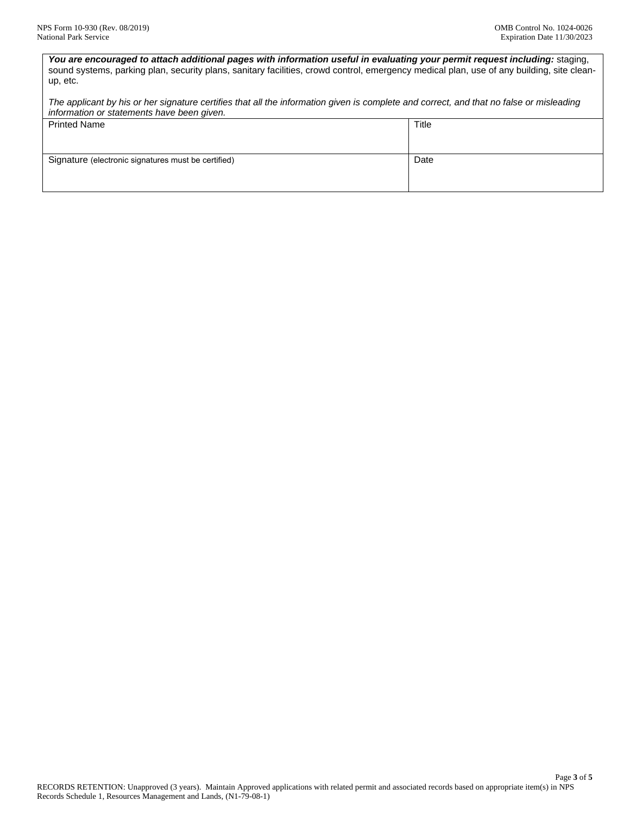You are encouraged to attach additional pages with information useful in evaluating your permit request including: staging, sound systems, parking plan, security plans, sanitary facilities, crowd control, emergency medical plan, use of any building, site cleanup, etc.

*The applicant by his or her signature certifies that all the information given is complete and correct, and that no false or misleading information or statements have been given.* 

| <b>Printed Name</b>                                 | Title |
|-----------------------------------------------------|-------|
|                                                     |       |
|                                                     |       |
|                                                     |       |
|                                                     |       |
|                                                     |       |
|                                                     |       |
|                                                     |       |
|                                                     |       |
| Signature (electronic signatures must be certified) | Date  |
|                                                     |       |
|                                                     |       |
|                                                     |       |
|                                                     |       |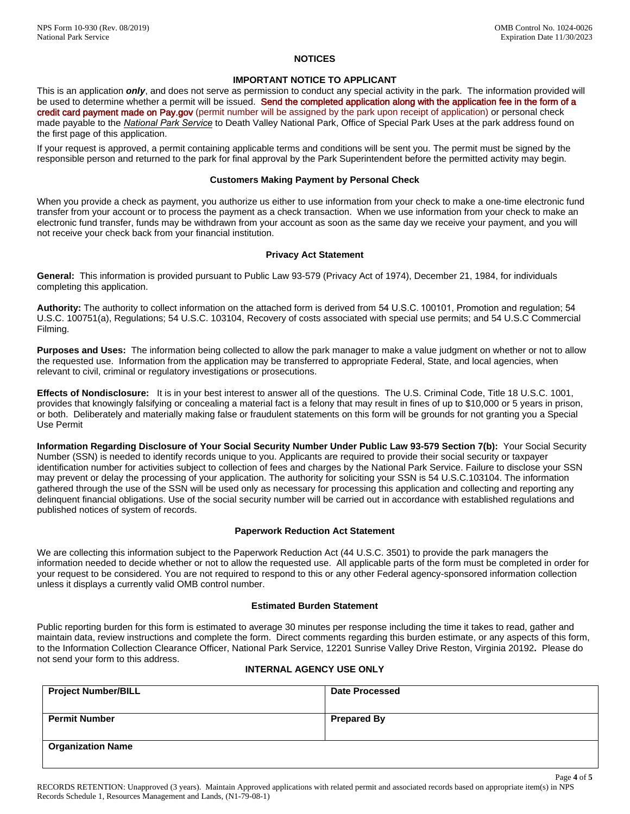# **NOTICES**

## **IMPORTANT NOTICE TO APPLICANT**

credit card payment made on Pay.gov (permit number will be assigned by the park upon receipt of application) or personal check the first page of this application. This is an application *only*, and does not serve as permission to conduct any special activity in the park. The information provided will be used to determine whether a permit will be issued. Send the completed application along with the application fee in the form of a made payable to the *National Park Service* to Death Valley National Park, Office of Special Park Uses at the park address found on

If your request is approved, a permit containing applicable terms and conditions will be sent you. The permit must be signed by the responsible person and returned to the park for final approval by the Park Superintendent before the permitted activity may begin.

## **Customers Making Payment by Personal Check**

When you provide a check as payment, you authorize us either to use information from your check to make a one-time electronic fund transfer from your account or to process the payment as a check transaction. When we use information from your check to make an electronic fund transfer, funds may be withdrawn from your account as soon as the same day we receive your payment, and you will not receive your check back from your financial institution.

#### **Privacy Act Statement**

**General:** This information is provided pursuant to Public Law 93-579 (Privacy Act of 1974), December 21, 1984, for individuals completing this application.

**Authority:** The authority to collect information on the attached form is derived from 54 U.S.C. 100101, Promotion and regulation; 54 U.S.C. 100751(a), Regulations; 54 U.S.C. 103104, Recovery of costs associated with special use permits; and 54 U.S.C Commercial Filming.

**Purposes and Uses:** The information being collected to allow the park manager to make a value judgment on whether or not to allow the requested use. Information from the application may be transferred to appropriate Federal, State, and local agencies, when relevant to civil, criminal or regulatory investigations or prosecutions.

 or both. Deliberately and materially making false or fraudulent statements on this form will be grounds for not granting you a Special **Effects of Nondisclosure:** It is in your best interest to answer all of the questions. The U.S. Criminal Code, Title 18 U.S.C. 1001, provides that knowingly falsifying or concealing a material fact is a felony that may result in fines of up to \$10,000 or 5 years in prison, Use Permit

**Information Regarding Disclosure of Your Social Security Number Under Public Law 93-579 Section 7(b):** Your Social Security Number (SSN) is needed to identify records unique to you. Applicants are required to provide their social security or taxpayer identification number for activities subject to collection of fees and charges by the National Park Service. Failure to disclose your SSN may prevent or delay the processing of your application. The authority for soliciting your SSN is 54 U.S.C.103104. The information gathered through the use of the SSN will be used only as necessary for processing this application and collecting and reporting any delinquent financial obligations. Use of the social security number will be carried out in accordance with established regulations and published notices of system of records.

#### **Paperwork Reduction Act Statement**

We are collecting this information subject to the Paperwork Reduction Act (44 U.S.C. 3501) to provide the park managers the information needed to decide whether or not to allow the requested use. All applicable parts of the form must be completed in order for your request to be considered. You are not required to respond to this or any other Federal agency-sponsored information collection unless it displays a currently valid OMB control number.

#### **Estimated Burden Statement**

 to the Information Collection Clearance Officer, National Park Service, 12201 Sunrise Valley Drive Reston, Virginia 20192**.** Please do not send your form to this address. Public reporting burden for this form is estimated to average 30 minutes per response including the time it takes to read, gather and maintain data, review instructions and complete the form. Direct comments regarding this burden estimate, or any aspects of this form,

# **INTERNAL AGENCY USE ONLY**

| <b>Project Number/BILL</b> | <b>Date Processed</b> |
|----------------------------|-----------------------|
|                            |                       |
| <b>Permit Number</b>       | <b>Prepared By</b>    |
| <b>Organization Name</b>   |                       |

Page **4** of **5**